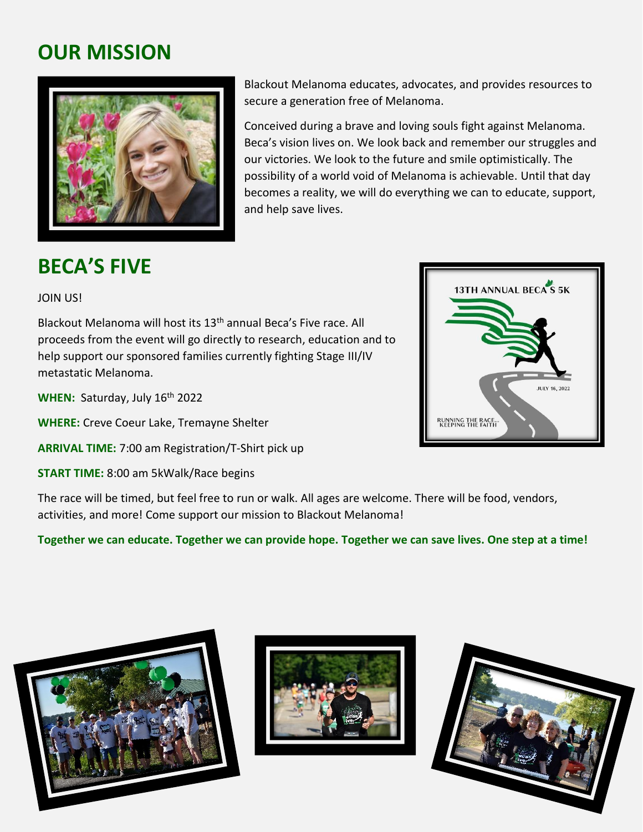# **OUR MISSION**



**BECA'S FIVE**

Blackout Melanoma educates, advocates, and provides resources to secure a generation free of Melanoma.

Conceived during a brave and loving souls fight against Melanoma. Beca's vision lives on. We look back and remember our struggles and our victories. We look to the future and smile optimistically. The possibility of a world void of Melanoma is achievable. Until that day becomes a reality, we will do everything we can to educate, support, and help save lives.

#### JOIN US!

Blackout Melanoma will host its 13<sup>th</sup> annual Beca's Five race. All proceeds from the event will go directly to research, education and to help support our sponsored families currently fighting Stage III/IV metastatic Melanoma.

WHEN: Saturday, July 16<sup>th</sup> 2022

**WHERE:** Creve Coeur Lake, Tremayne Shelter

**ARRIVAL TIME:** 7:00 am Registration/T-Shirt pick up

**START TIME:** 8:00 am 5kWalk/Race begins

The race will be timed, but feel free to run or walk. All ages are welcome. There will be food, vendors, activities, and more! Come support our mission to Blackout Melanoma!

**Together we can educate. Together we can provide hope. Together we can save lives. One step at a time!**







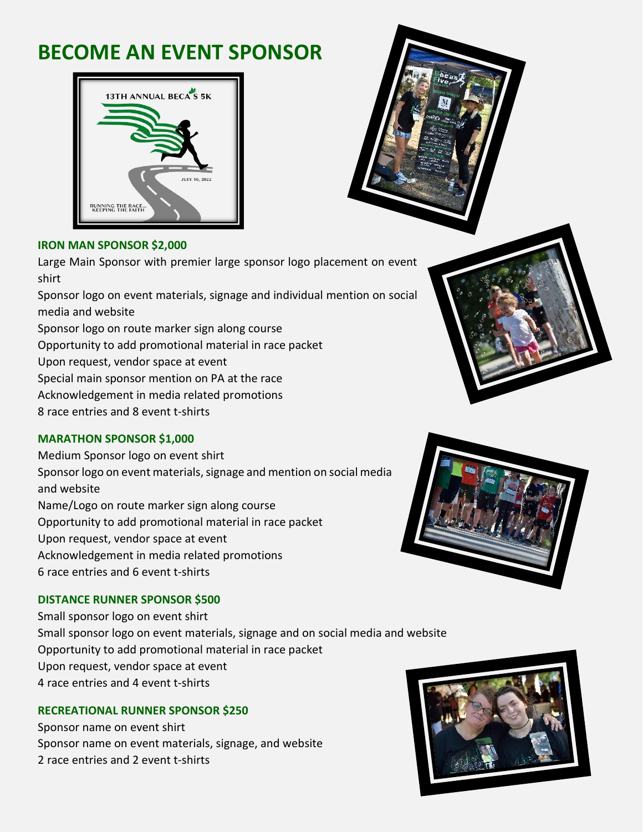# **BECOME AN EVENT SPONSOR**





#### **IRON MAN SPONSOR \$2,000**

Large Main Sponsor with premier large sponsor logo placement on event shirt

Sponsor logo on event materials, signage and individual mention on social media and website

Sponsor logo on route marker sign along course

Opportunity to add promotional material in race packet

Upon request, vendor space at event

Special main sponsor mention on PA at the race

Acknowledgement in media related promotions

8 race entries and 8 event t-shirts

### **MARATHON SPONSOR \$1,000**

Medium Sponsor logo on event shirt Sponsor logo on event materials, signage and mention on social media and website Name/Logo on route marker sign along course Opportunity to add promotional material in race packet Upon request, vendor space at event Acknowledgement in media related promotions 6 race entries and 6 event t-shirts

### **DISTANCE RUNNER SPONSOR \$500**

Small sponsor logo on event shirt Small sponsor logo on event materials, signage and on social media and website Opportunity to add promotional material in race packet Upon request, vendor space at event 4 race entries and 4 event t-shirts

### **RECREATIONAL RUNNER SPONSOR \$250**

Sponsor name on event shirt Sponsor name on event materials, signage, and website 2 race entries and 2 event t-shirts



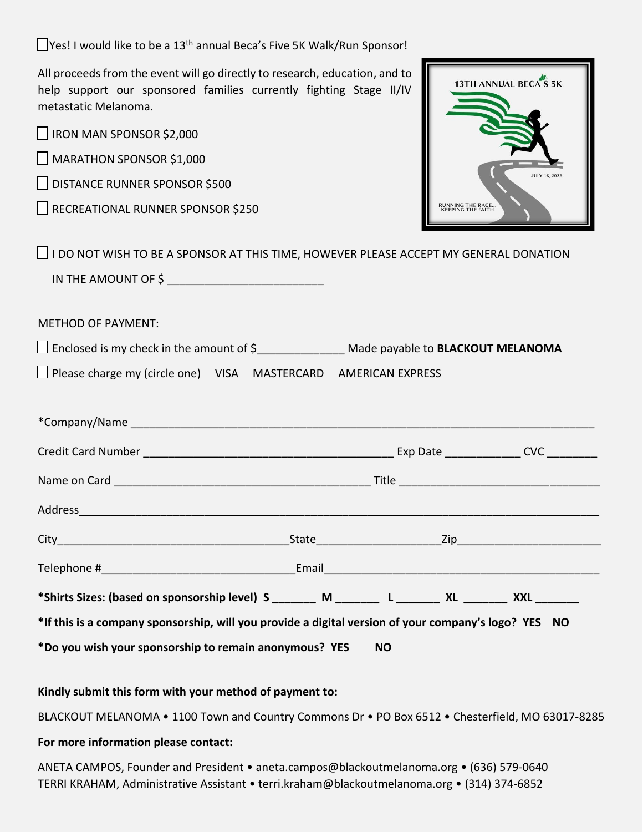$\Box$ Yes! I would like to be a 13<sup>th</sup> annual Beca's Five 5K Walk/Run Sponsor!

All proceeds from the event will go directly to research, education, and to help support our sponsored families currently fighting Stage II/IV metastatic Melanoma.

| metastatic ivieianoma.                                                                                          |                                               |                      |
|-----------------------------------------------------------------------------------------------------------------|-----------------------------------------------|----------------------|
| IRON MAN SPONSOR \$2,000                                                                                        |                                               |                      |
| MARATHON SPONSOR \$1,000                                                                                        |                                               |                      |
| DISTANCE RUNNER SPONSOR \$500                                                                                   |                                               | <b>JULY 16, 2022</b> |
| RECREATIONAL RUNNER SPONSOR \$250                                                                               | <b>RUNNING THE RACE.</b><br>KEEPING THE FAITH |                      |
| $\Box$ I DO NOT WISH TO BE A SPONSOR AT THIS TIME, HOWEVER PLEASE ACCEPT MY GENERAL DONATION                    |                                               |                      |
|                                                                                                                 |                                               |                      |
| <b>METHOD OF PAYMENT:</b>                                                                                       |                                               |                      |
|                                                                                                                 |                                               |                      |
| $\Box$ Please charge my (circle one) VISA MASTERCARD AMERICAN EXPRESS                                           |                                               |                      |
|                                                                                                                 |                                               |                      |
|                                                                                                                 |                                               |                      |
|                                                                                                                 |                                               |                      |
|                                                                                                                 |                                               |                      |
| Address and the contract of the contract of the contract of the contract of the contract of the contract of the |                                               |                      |
|                                                                                                                 |                                               |                      |
|                                                                                                                 |                                               |                      |
|                                                                                                                 |                                               |                      |
| *If this is a company sponsorship, will you provide a digital version of your company's logo? YES NO            |                                               |                      |
| *Do you wish your sponsorship to remain anonymous? YES                                                          | ΝO                                            |                      |

13TH ANNUAL BECA<sup>N</sup>S 5K

**Kindly submit this form with your method of payment to:** 

BLACKOUT MELANOMA • 1100 Town and Country Commons Dr • PO Box 6512 • Chesterfield, MO 63017-8285

#### **For more information please contact:**

ANETA CAMPOS, Founder and President • aneta.campos@blackoutmelanoma.org • (636) 579-0640 TERRI KRAHAM, Administrative Assistant • terri.kraham@blackoutmelanoma.org • (314) 374-6852